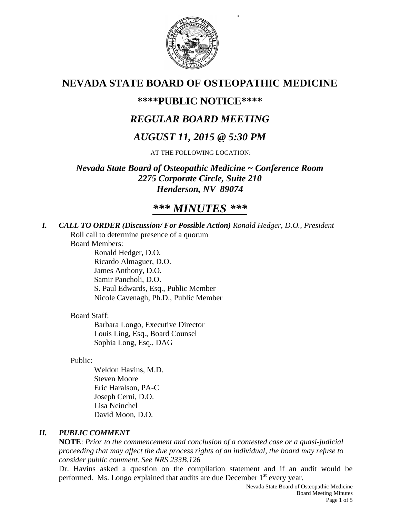

 *.*

# **NEVADA STATE BOARD OF OSTEOPATHIC MEDICINE**

## **\*\*\*\*PUBLIC NOTICE\*\*\*\***

# *REGULAR BOARD MEETING*

# *AUGUST 11, 2015 @ 5:30 PM*

AT THE FOLLOWING LOCATION:

*Nevada State Board of Osteopathic Medicine ~ Conference Room 2275 Corporate Circle, Suite 210 Henderson, NV 89074*

# *\*\*\* MINUTES \*\*\**

*I. CALL TO ORDER (Discussion/ For Possible Action) Ronald Hedger, D.O., President* Roll call to determine presence of a quorum

Board Members:

Ronald Hedger, D.O. Ricardo Almaguer, D.O. James Anthony, D.O. Samir Pancholi, D.O. S. Paul Edwards, Esq., Public Member Nicole Cavenagh, Ph.D., Public Member

## Board Staff:

Barbara Longo, Executive Director Louis Ling, Esq., Board Counsel Sophia Long, Esq., DAG

Public:

Weldon Havins, M.D. Steven Moore Eric Haralson, PA-C Joseph Cerni, D.O. Lisa Neinchel David Moon, D.O.

## *II. PUBLIC COMMENT*

**NOTE**: *Prior to the commencement and conclusion of a contested case or a quasi-judicial proceeding that may affect the due process rights of an individual, the board may refuse to consider public comment. See NRS 233B.126*

Dr. Havins asked a question on the compilation statement and if an audit would be performed. Ms. Longo explained that audits are due December  $1<sup>st</sup>$  every year.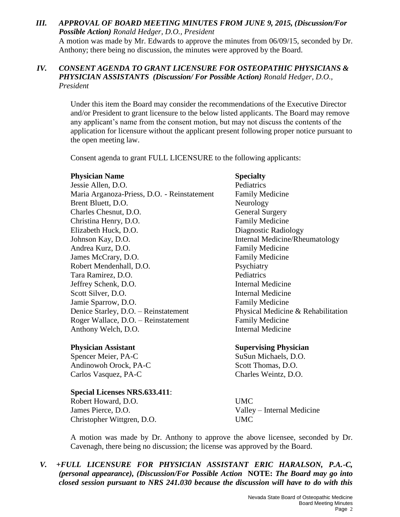#### *III. APPROVAL OF BOARD MEETING MINUTES FROM JUNE 9, 2015, (Discussion/For Possible Action) Ronald Hedger, D.O., President*

A motion was made by Mr. Edwards to approve the minutes from 06/09/15, seconded by Dr. Anthony; there being no discussion, the minutes were approved by the Board.

### *IV. CONSENT AGENDA TO GRANT LICENSURE FOR OSTEOPATHIC PHYSICIANS & PHYSICIAN ASSISTANTS (Discussion/ For Possible Action) Ronald Hedger, D.O., President*

Under this item the Board may consider the recommendations of the Executive Director and/or President to grant licensure to the below listed applicants. The Board may remove any applicant's name from the consent motion, but may not discuss the contents of the application for licensure without the applicant present following proper notice pursuant to the open meeting law.

Consent agenda to grant FULL LICENSURE to the following applicants:

#### **Physician Name Specialty**

Jessie Allen, D.O. Pediatrics Maria Arganoza-Priess, D.O. - Reinstatement Family Medicine Brent Bluett, D.O. Neurology Charles Chesnut, D.O. General Surgery Christina Henry, D.O. Family Medicine Elizabeth Huck, D.O. Diagnostic Radiology Johnson Kay, D.O. Internal Medicine/Rheumatology Andrea Kurz, D.O. **Family Medicine** James McCrary, D.O. **Family Medicine** Robert Mendenhall, D.O. Psychiatry Tara Ramirez, D.O. Pediatrics Jeffrey Schenk, D.O. Internal Medicine Scott Silver, D.O. Internal Medicine Jamie Sparrow, D.O. **Family Medicine** Denice Starley, D.O. – Reinstatement Physical Medicine & Rehabilitation Roger Wallace, D.O. – Reinstatement Family Medicine Anthony Welch, D.O. **Internal Medicine** 

Spencer Meier, PA-C SuSun Michaels, D.O. Andinowoh Orock, PA-C Scott Thomas, D.O. Carlos Vasquez, PA-C Charles Weintz, D.O.

**Special Licenses NRS.633.411**: Robert Howard, D.O. UMC James Pierce, D.O. Valley – Internal Medicine Christopher Wittgren, D.O. UMC

### **Physician Assistant Supervising Physician**

A motion was made by Dr. Anthony to approve the above licensee, seconded by Dr. Cavenagh, there being no discussion; the license was approved by the Board.

*V. +FULL LICENSURE FOR PHYSICIAN ASSISTANT ERIC HARALSON, P.A.-C, (personal appearance), (Discussion/For Possible Action* **NOTE:** *The Board may go into closed session pursuant to NRS 241.030 because the discussion will have to do with this*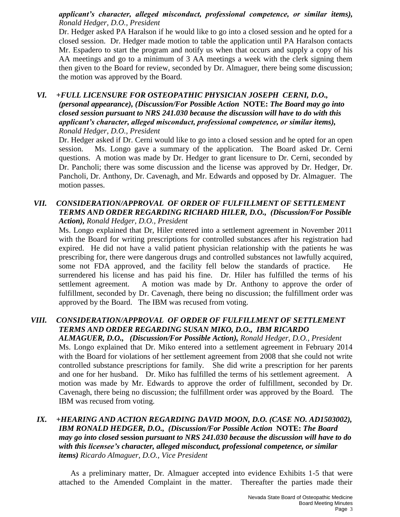*applicant's character, alleged misconduct, professional competence, or similar items), Ronald Hedger, D.O., President*

Dr. Hedger asked PA Haralson if he would like to go into a closed session and he opted for a closed session. Dr. Hedger made motion to table the application until PA Haralson contacts Mr. Espadero to start the program and notify us when that occurs and supply a copy of his AA meetings and go to a minimum of 3 AA meetings a week with the clerk signing them then given to the Board for review, seconded by Dr. Almaguer, there being some discussion; the motion was approved by the Board.

#### *VI. +FULL LICENSURE FOR OSTEOPATHIC PHYSICIAN JOSEPH CERNI, D.O., (personal appearance), (Discussion/For Possible Action* **NOTE:** *The Board may go into closed session pursuant to NRS 241.030 because the discussion will have to do with this applicant's character, alleged misconduct, professional competence, or similar items), Ronald Hedger, D.O., President*

Dr. Hedger asked if Dr. Cerni would like to go into a closed session and he opted for an open session. Ms. Longo gave a summary of the application. The Board asked Dr. Cerni questions. A motion was made by Dr. Hedger to grant licensure to Dr. Cerni, seconded by Dr. Pancholi; there was some discussion and the license was approved by Dr. Hedger, Dr. Pancholi, Dr. Anthony, Dr. Cavenagh, and Mr. Edwards and opposed by Dr. Almaguer. The motion passes.

#### *VII. CONSIDERATION/APPROVAL OF ORDER OF FULFILLMENT OF SETTLEMENT TERMS AND ORDER REGARDING RICHARD HILER, D.O., (Discussion/For Possible Action), Ronald Hedger, D.O., President*

Ms. Longo explained that Dr, Hiler entered into a settlement agreement in November 2011 with the Board for writing prescriptions for controlled substances after his registration had expired. He did not have a valid patient physician relationship with the patients he was prescribing for, there were dangerous drugs and controlled substances not lawfully acquired, some not FDA approved, and the facility fell below the standards of practice. He surrendered his license and has paid his fine. Dr. Hiler has fulfilled the terms of his settlement agreement. A motion was made by Dr. Anthony to approve the order of fulfillment, seconded by Dr. Cavenagh, there being no discussion; the fulfillment order was approved by the Board. The IBM was recused from voting.

## *VIII. CONSIDERATION/APPROVAL OF ORDER OF FULFILLMENT OF SETTLEMENT TERMS AND ORDER REGARDING SUSAN MIKO, D.O., IBM RICARDO*

*ALMAGUER, D.O., (Discussion/For Possible Action), Ronald Hedger, D.O., President* Ms. Longo explained that Dr. Miko entered into a settlement agreement in February 2014 with the Board for violations of her settlement agreement from 2008 that she could not write controlled substance prescriptions for family. She did write a prescription for her parents and one for her husband. Dr. Miko has fulfilled the terms of his settlement agreement. A motion was made by Mr. Edwards to approve the order of fulfillment, seconded by Dr. Cavenagh, there being no discussion; the fulfillment order was approved by the Board. The IBM was recused from voting.

#### *IX. +HEARING AND ACTION REGARDING DAVID MOON, D.O. (CASE NO. AD1503002), IBM RONALD HEDGER, D.O., (Discussion/For Possible Action* **NOTE:** *The Board may go into closed* **session** *pursuant to NRS 241.030 because the discussion will have to do with this licensee's character, alleged misconduct, professional competence, or similar items) Ricardo Almaguer, D.O., Vice President*

As a preliminary matter, Dr. Almaguer accepted into evidence Exhibits 1-5 that were attached to the Amended Complaint in the matter. Thereafter the parties made their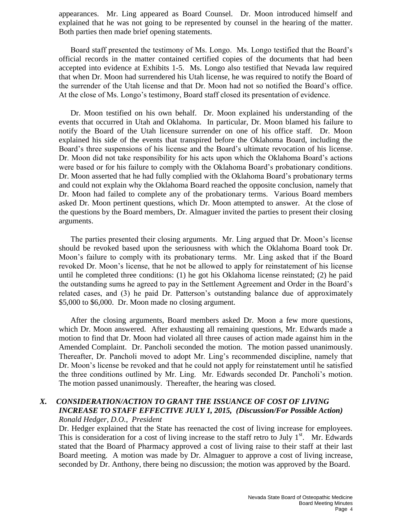appearances. Mr. Ling appeared as Board Counsel. Dr. Moon introduced himself and explained that he was not going to be represented by counsel in the hearing of the matter. Both parties then made brief opening statements.

Board staff presented the testimony of Ms. Longo. Ms. Longo testified that the Board's official records in the matter contained certified copies of the documents that had been accepted into evidence at Exhibits 1-5. Ms. Longo also testified that Nevada law required that when Dr. Moon had surrendered his Utah license, he was required to notify the Board of the surrender of the Utah license and that Dr. Moon had not so notified the Board's office. At the close of Ms. Longo's testimony, Board staff closed its presentation of evidence.

Dr. Moon testified on his own behalf. Dr. Moon explained his understanding of the events that occurred in Utah and Oklahoma. In particular, Dr. Moon blamed his failure to notify the Board of the Utah licensure surrender on one of his office staff. Dr. Moon explained his side of the events that transpired before the Oklahoma Board, including the Board's three suspensions of his license and the Board's ultimate revocation of his license. Dr. Moon did not take responsibility for his acts upon which the Oklahoma Board's actions were based or for his failure to comply with the Oklahoma Board's probationary conditions. Dr. Moon asserted that he had fully complied with the Oklahoma Board's probationary terms and could not explain why the Oklahoma Board reached the opposite conclusion, namely that Dr. Moon had failed to complete any of the probationary terms. Various Board members asked Dr. Moon pertinent questions, which Dr. Moon attempted to answer. At the close of the questions by the Board members, Dr. Almaguer invited the parties to present their closing arguments.

The parties presented their closing arguments. Mr. Ling argued that Dr. Moon's license should be revoked based upon the seriousness with which the Oklahoma Board took Dr. Moon's failure to comply with its probationary terms. Mr. Ling asked that if the Board revoked Dr. Moon's license, that he not be allowed to apply for reinstatement of his license until he completed three conditions: (1) he got his Oklahoma license reinstated; (2) he paid the outstanding sums he agreed to pay in the Settlement Agreement and Order in the Board's related cases, and (3) he paid Dr. Patterson's outstanding balance due of approximately \$5,000 to \$6,000. Dr. Moon made no closing argument.

After the closing arguments, Board members asked Dr. Moon a few more questions, which Dr. Moon answered. After exhausting all remaining questions, Mr. Edwards made a motion to find that Dr. Moon had violated all three causes of action made against him in the Amended Complaint. Dr. Pancholi seconded the motion. The motion passed unanimously. Thereafter, Dr. Pancholi moved to adopt Mr. Ling's recommended discipline, namely that Dr. Moon's license be revoked and that he could not apply for reinstatement until he satisfied the three conditions outlined by Mr. Ling. Mr. Edwards seconded Dr. Pancholi's motion. The motion passed unanimously. Thereafter, the hearing was closed.

#### *X. CONSIDERATION/ACTION TO GRANT THE ISSUANCE OF COST OF LIVING INCREASE TO STAFF EFFECTIVE JULY 1, 2015, (Discussion/For Possible Action) Ronald Hedger, D.O., President*

Dr. Hedger explained that the State has reenacted the cost of living increase for employees. This is consideration for a cost of living increase to the staff retro to July  $1<sup>st</sup>$ . Mr. Edwards stated that the Board of Pharmacy approved a cost of living raise to their staff at their last Board meeting. A motion was made by Dr. Almaguer to approve a cost of living increase, seconded by Dr. Anthony, there being no discussion; the motion was approved by the Board.